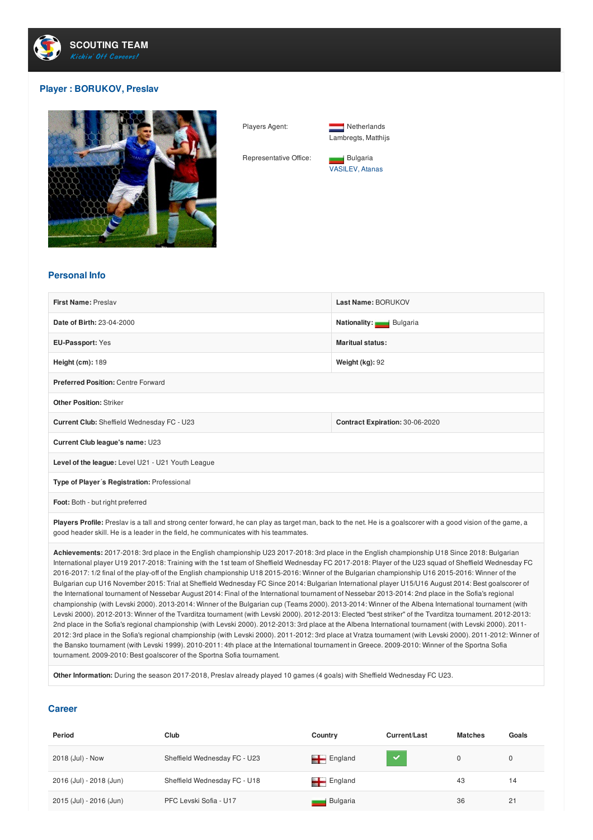

## **Player : BORUKOV, Preslav**



Players Agent: Netherlands Lambregts, Matthijs

Representative Office: Bulgaria VASILEV, Atanas

## **Personal Info**

| First Name: Preslav                                                                                                                                                                                                                                   | Last Name: BORUKOV              |  |  |  |
|-------------------------------------------------------------------------------------------------------------------------------------------------------------------------------------------------------------------------------------------------------|---------------------------------|--|--|--|
| Date of Birth: 23-04-2000                                                                                                                                                                                                                             | Nationality: Bulgaria           |  |  |  |
| EU-Passport: Yes                                                                                                                                                                                                                                      | <b>Maritual status:</b>         |  |  |  |
| Height (cm): 189                                                                                                                                                                                                                                      | Weight (kg): 92                 |  |  |  |
| <b>Preferred Position: Centre Forward</b>                                                                                                                                                                                                             |                                 |  |  |  |
| <b>Other Position: Striker</b>                                                                                                                                                                                                                        |                                 |  |  |  |
| Current Club: Sheffield Wednesday FC - U23                                                                                                                                                                                                            | Contract Expiration: 30-06-2020 |  |  |  |
| Current Club league's name: U23                                                                                                                                                                                                                       |                                 |  |  |  |
| Level of the league: Level U21 - U21 Youth League                                                                                                                                                                                                     |                                 |  |  |  |
| Type of Player's Registration: Professional                                                                                                                                                                                                           |                                 |  |  |  |
| Foot: Both - but right preferred                                                                                                                                                                                                                      |                                 |  |  |  |
| Players Profile: Preslav is a tall and strong center forward, he can play as target man, back to the net. He is a goalscorer with a good vision of the game, a<br>good header skill. He is a leader in the field, he communicates with his teammates. |                                 |  |  |  |
| Aabiayamanta, 0017,0010,0ul slaas in the Fraileh shampianshin U00,0017,0010,0ul slaas in the Fraileh shampianshin U10,0ines 0010,Dulgarian                                                                                                            |                                 |  |  |  |

**Achievements:** 2017-2018: 3rd place in the English championship U23 2017-2018: 3rd place in the English championship U18 Since 2018: Bulgarian International player U19 2017-2018: Training with the 1st team of Sheffield Wednesday FC 2017-2018: Player of the U23 squad of Sheffield Wednesday FC 2016-2017: 1/2 final of the play-off of the English championship U18 2015-2016: Winner of the Bulgarian championship U16 2015-2016: Winner of the Bulgarian cup U16 November 2015: Trial at Sheffield Wednesday FC Since 2014: Bulgarian International player U15/U16 August 2014: Best goalscorer of the International tournament of Nessebar August 2014: Final of the International tournament of Nessebar 2013-2014: 2nd place in the Sofia's regional championship (with Levski 2000). 2013-2014: Winner of the Bulgarian cup (Teams 2000). 2013-2014: Winner of the Albena International tournament (with Levski 2000). 2012-2013: Winner of the Tvarditza tournament (with Levski 2000). 2012-2013: Elected "best striker" of the Tvarditza tournament. 2012-2013: 2nd place in the Sofia's regional championship (with Levski 2000). 2012-2013: 3rd place at the Albena International tournament (with Levski 2000). 2011- 2012: 3rd place in the Sofia's regional championship (with Levski 2000). 2011-2012: 3rd place at Vratza tournament (with Levski 2000). 2011-2012: Winner of the Bansko tournament (with Levski 1999). 2010-2011: 4th place at the International tournament in Greece. 2009-2010: Winner of the Sportna Sofia tournament. 2009-2010: Best goalscorer of the Sportna Sofia tournament.

**Other Information:** During the season 2017-2018, Preslav already played 10 games (4 goals) with Sheffield Wednesday FC U23.

## **Career**

| Period                  | Club                         | Country                | Current/Last | <b>Matches</b> | Goals        |
|-------------------------|------------------------------|------------------------|--------------|----------------|--------------|
| 2018 (Jul) - Now        | Sheffield Wednesday FC - U23 | $\blacksquare$ England | <b>A</b>     | 0              | $\mathbf{0}$ |
| 2016 (Jul) - 2018 (Jun) | Sheffield Wednesday FC - U18 | $\blacksquare$ England |              | 43             | 14           |
| 2015 (Jul) - 2016 (Jun) | PFC Levski Sofia - U17       | Bulgaria               |              | 36             | 21           |